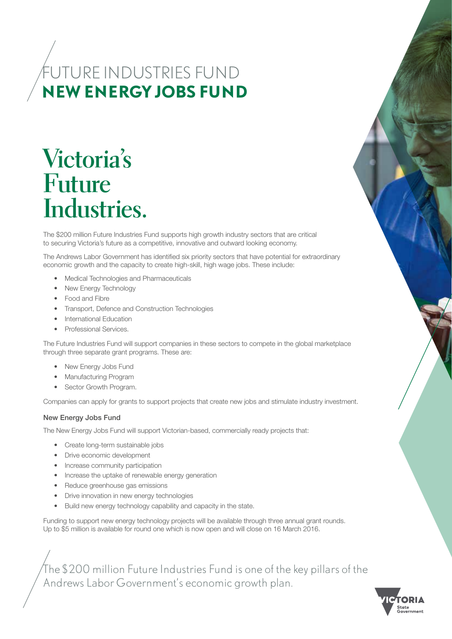# FUTURE INDUSTRIES FUND **NEW ENERGY JOBS FUND**

# **Victoria's Future Industries.**

The \$200 million Future Industries Fund supports high growth industry sectors that are critical to securing Victoria's future as a competitive, innovative and outward looking economy.

The Andrews Labor Government has identified six priority sectors that have potential for extraordinary economic growth and the capacity to create high-skill, high wage jobs. These include:

- Medical Technologies and Pharmaceuticals
- New Energy Technology
- Food and Fibre
- Transport, Defence and Construction Technologies
- International Education
- Professional Services.

The Future Industries Fund will support companies in these sectors to compete in the global marketplace through three separate grant programs. These are:

- New Energy Jobs Fund
- Manufacturing Program
- Sector Growth Program.

Companies can apply for grants to support projects that create new jobs and stimulate industry investment.

## New Energy Jobs Fund

The New Energy Jobs Fund will support Victorian-based, commercially ready projects that:

- Create long-term sustainable jobs
- Drive economic development
- Increase community participation
- Increase the uptake of renewable energy generation
- Reduce greenhouse gas emissions
- Drive innovation in new energy technologies
- Build new energy technology capability and capacity in the state.

Funding to support new energy technology projects will be available through three annual grant rounds. Up to \$5 million is available for round one which is now open and will close on 16 March 2016.

The \$200 million Future Industries Fund is one of the key pillars of the Andrews Labor Government's economic growth plan.